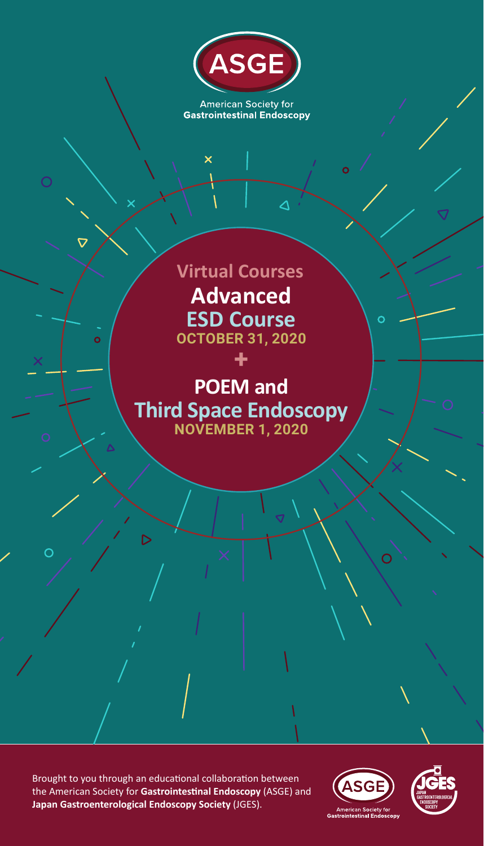

**American Society for Gastrointestinal Endoscopy** 

 $\Delta$ 

 $\Omega$ 

 $\mathbf{o}$ 

 $\overline{\mathsf{x}}$ 

 $\overline{O}$ 

 $\overline{\nabla}$ 

 $\overline{O}$ 

**Advanced ESD Course OCTOBER 31, 2020 Virtual Courses**

# **POEM and Third Space Endoscopy NOVEMBER 1, 2020**

**+**

Brought to you through an educational collaboration between the American Society for **Gastrointestinal Endoscopy** (ASGE) and **Japan Gastroenterological Endoscopy Society** (JGES).

 $\mathsf{D}% _{\mathcal{A}}\!\left( \mathcal{A}_{\mathcal{A}}\right) ^{\ast}\!\left( \mathcal{A}_{\mathcal{A}}\right) ^{\ast}\!\left( \mathcal{A}_{\mathcal{A}}\right) ^{\ast}\!\left( \mathcal{A}_{\mathcal{A}}\right) ^{\ast}\!\left( \mathcal{A}_{\mathcal{A}}\right) ^{\ast}\!\left( \mathcal{A}_{\mathcal{A}}\right) ^{\ast}\!\left( \mathcal{A}_{\mathcal{A}}\right) ^{\ast}\!\left( \mathcal{A}_{\mathcal{A}}\right) ^{\ast}\!\left( \mathcal{A}_{\mathcal{A}}\right) ^{\ast}\!\left( \mathcal{A$ 



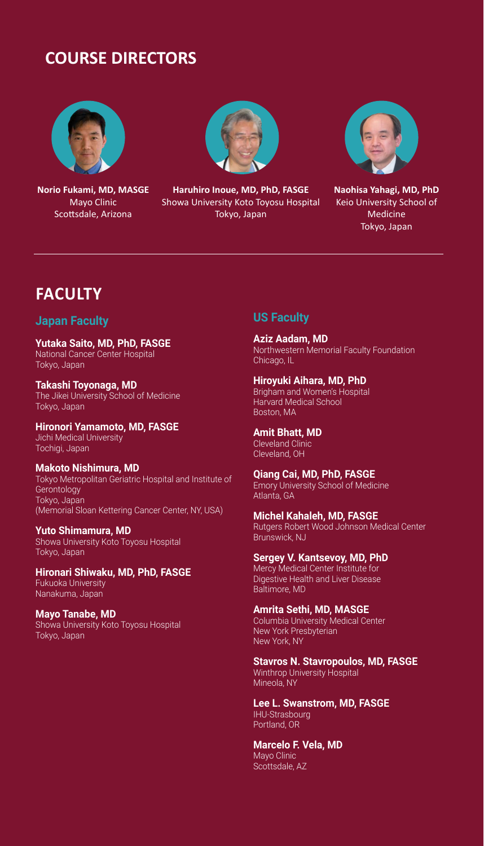## **COURSE DIRECTORS**



**Norio Fukami, MD, MASGE** Mayo Clinic Scottsdale, Arizona



**Haruhiro Inoue, MD, PhD, FASGE** Showa University Koto Toyosu Hospital Tokyo, Japan



**Naohisa Yahagi, MD, PhD** Keio University School of Medicine Tokyo, Japan

## **FACULTY**

#### **Japan Faculty**

**Yutaka Saito, MD, PhD, FASGE** National Cancer Center Hospital Tokyo, Japan

**Takashi Toyonaga, MD** The Jikei University School of Medicine Tokyo, Japan

**Hironori Yamamoto, MD, FASGE** Jichi Medical University Tochigi, Japan

**Makoto Nishimura, MD** Tokyo Metropolitan Geriatric Hospital and Institute of **Gerontology** Tokyo, Japan (Memorial Sloan Kettering Cancer Center, NY, USA)

**Yuto Shimamura, MD** Showa University Koto Toyosu Hospital Tokyo, Japan

**Hironari Shiwaku, MD, PhD, FASGE** Fukuoka University Nanakuma, Japan

**Mayo Tanabe, MD** Showa University Koto Toyosu Hospital Tokyo, Japan

#### **US Faculty**

**Aziz Aadam, MD** Northwestern Memorial Faculty Foundation Chicago, IL

**Hiroyuki Aihara, MD, PhD** Brigham and Women's Hospital Harvard Medical School Boston, MA

**Amit Bhatt, MD** Cleveland Clinic Cleveland, OH

**Qiang Cai, MD, PhD, FASGE** Emory University School of Medicine Atlanta, GA

**Michel Kahaleh, MD, FASGE** Rutgers Robert Wood Johnson Medical Center Brunswick, NJ

**Sergey V. Kantsevoy, MD, PhD** Mercy Medical Center Institute for Digestive Health and Liver Disease Baltimore, MD

**Amrita Sethi, MD, MASGE** Columbia University Medical Center New York Presbyterian New York, NY

**Stavros N. Stavropoulos, MD, FASGE** Winthrop University Hospital Mineola, NY

**Lee L. Swanstrom, MD, FASGE** IHU-Strasbourg Portland, OR

**Marcelo F. Vela, MD** Mayo Clinic Scottsdale, AZ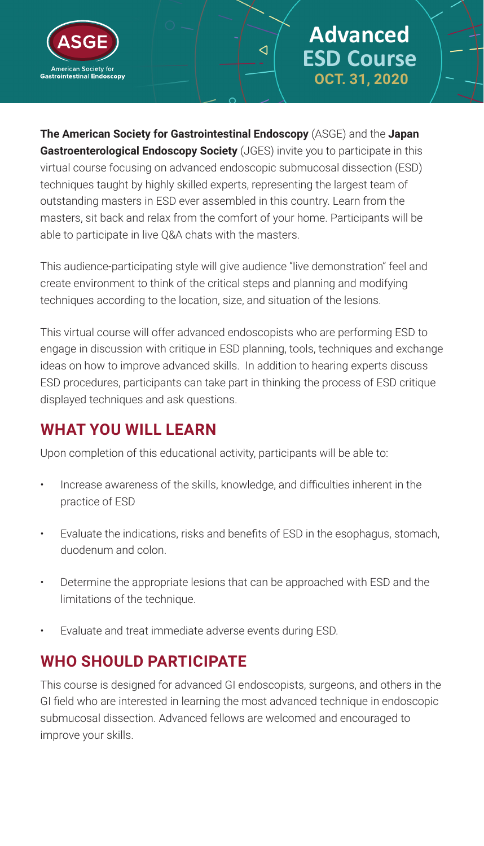

# **Advanced ESD Course OCT. 31, 2020**

**The American Society for Gastrointestinal Endoscopy** (ASGE) and the **Japan Gastroenterological Endoscopy Society** (JGES) invite you to participate in this virtual course focusing on advanced endoscopic submucosal dissection (ESD) techniques taught by highly skilled experts, representing the largest team of outstanding masters in ESD ever assembled in this country. Learn from the masters, sit back and relax from the comfort of your home. Participants will be able to participate in live Q&A chats with the masters.

 $\triangleleft$ 

This audience-participating style will give audience "live demonstration" feel and create environment to think of the critical steps and planning and modifying techniques according to the location, size, and situation of the lesions.

This virtual course will offer advanced endoscopists who are performing ESD to engage in discussion with critique in ESD planning, tools, techniques and exchange ideas on how to improve advanced skills. In addition to hearing experts discuss ESD procedures, participants can take part in thinking the process of ESD critique displayed techniques and ask questions.

## **WHAT YOU WILL LEARN**

Upon completion of this educational activity, participants will be able to:

- Increase awareness of the skills, knowledge, and difficulties inherent in the practice of ESD
- Evaluate the indications, risks and benefits of ESD in the esophagus, stomach, duodenum and colon.
- Determine the appropriate lesions that can be approached with ESD and the limitations of the technique.
- Evaluate and treat immediate adverse events during ESD.

## **WHO SHOULD PARTICIPATE**

This course is designed for advanced GI endoscopists, surgeons, and others in the GI field who are interested in learning the most advanced technique in endoscopic submucosal dissection. Advanced fellows are welcomed and encouraged to improve your skills.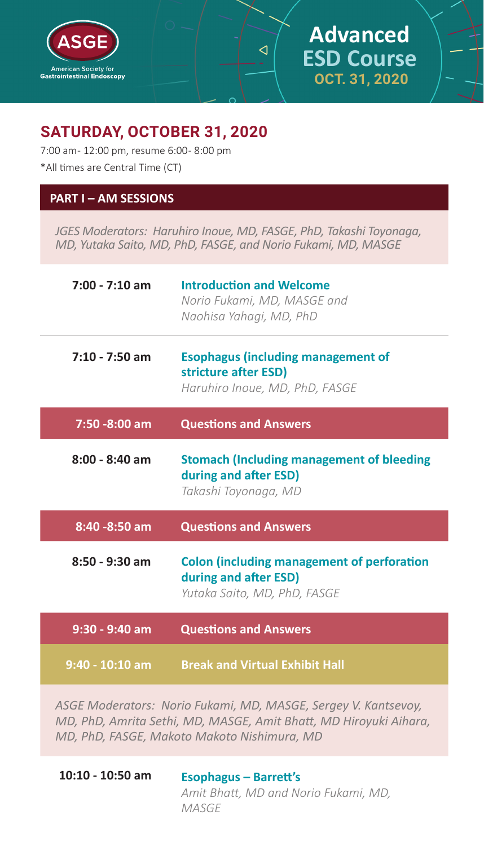

## **Advanced ESD Course OCT. 31, 2020**

## **SATURDAY, OCTOBER 31, 2020**

7:00 am- 12:00 pm, resume 6:00- 8:00 pm \*All times are Central Time (CT)

#### **PART I – AM SESSIONS**

*JGES Moderators: Haruhiro Inoue, MD, FASGE, PhD, Takashi Toyonaga, MD, Yutaka Saito, MD, PhD, FASGE, and Norio Fukami, MD, MASGE*

 $\triangleleft$ 

| 7:00 - 7:10 am   | <b>Introduction and Welcome</b><br>Norio Fukami, MD, MASGE and<br>Naohisa Yahagi, MD, PhD                  |  |  |
|------------------|------------------------------------------------------------------------------------------------------------|--|--|
| $7:10 - 7:50$ am | <b>Esophagus (including management of</b><br>stricture after ESD)<br>Haruhiro Inoue, MD, PhD, FASGE        |  |  |
| 7:50 -8:00 am    | <b>Questions and Answers</b>                                                                               |  |  |
| $8:00 - 8:40$ am | <b>Stomach (Including management of bleeding</b><br>during and after ESD)<br>Takashi Toyonaga, MD          |  |  |
| 8:40 - 8:50 am   | <b>Questions and Answers</b>                                                                               |  |  |
| $8:50 - 9:30$ am | <b>Colon (including management of perforation</b><br>during and after ESD)<br>Yutaka Saito, MD, PhD, FASGE |  |  |
| 9:30 - 9:40 am   | <b>Questions and Answers</b>                                                                               |  |  |
| 9:40 - 10:10 am  | <b>Break and Virtual Exhibit Hall</b>                                                                      |  |  |

*ASGE Moderators: Norio Fukami, MD, MASGE, Sergey V. Kantsevoy, MD, PhD, Amrita Sethi, MD, MASGE, Amit Bhatt, MD Hiroyuki Aihara, MD, PhD, FASGE, Makoto Makoto Nishimura, MD*

**10:10 - 10:50 am Esophagus – Barrett's** *Amit Bhatt, MD and Norio Fukami, MD, MASGE*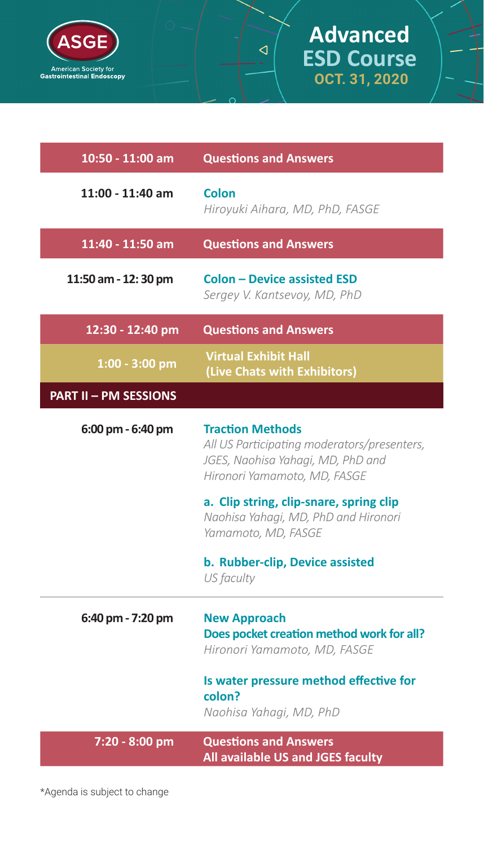

# **Advanced ESD Course OCT. 31, 2020**

 $\triangleleft$ 

| 10:50 - 11:00 am             | <b>Questions and Answers</b>                                                                                                                                                                                                                          |  |  |
|------------------------------|-------------------------------------------------------------------------------------------------------------------------------------------------------------------------------------------------------------------------------------------------------|--|--|
| 11:00 - 11:40 am             | Colon<br>Hiroyuki Aihara, MD, PhD, FASGE                                                                                                                                                                                                              |  |  |
| 11:40 - 11:50 am             | <b>Questions and Answers</b>                                                                                                                                                                                                                          |  |  |
| 11:50 am - 12:30 pm          | <b>Colon - Device assisted ESD</b><br>Sergey V. Kantsevoy, MD, PhD                                                                                                                                                                                    |  |  |
| 12:30 - 12:40 pm             | <b>Questions and Answers</b>                                                                                                                                                                                                                          |  |  |
| $1:00 - 3:00$ pm             | <b>Virtual Exhibit Hall</b><br>(Live Chats with Exhibitors)                                                                                                                                                                                           |  |  |
| <b>PART II - PM SESSIONS</b> |                                                                                                                                                                                                                                                       |  |  |
| 6:00 pm - 6:40 pm            | <b>Traction Methods</b><br>All US Participating moderators/presenters,<br>JGES, Naohisa Yahagi, MD, PhD and<br>Hironori Yamamoto, MD, FASGE<br>a. Clip string, clip-snare, spring clip<br>Naohisa Yahagi, MD, PhD and Hironori<br>Yamamoto, MD, FASGE |  |  |
|                              | b. Rubber-clip, Device assisted<br>US faculty                                                                                                                                                                                                         |  |  |
| 6:40 pm - 7:20 pm            | <b>New Approach</b><br>Does pocket creation method work for all?<br>Hironori Yamamoto, MD, FASGE<br>Is water pressure method effective for                                                                                                            |  |  |
|                              | colon?<br>Naohisa Yahagi, MD, PhD                                                                                                                                                                                                                     |  |  |
| 7:20 - 8:00 pm               | <b>Questions and Answers</b><br>All available US and JGES faculty                                                                                                                                                                                     |  |  |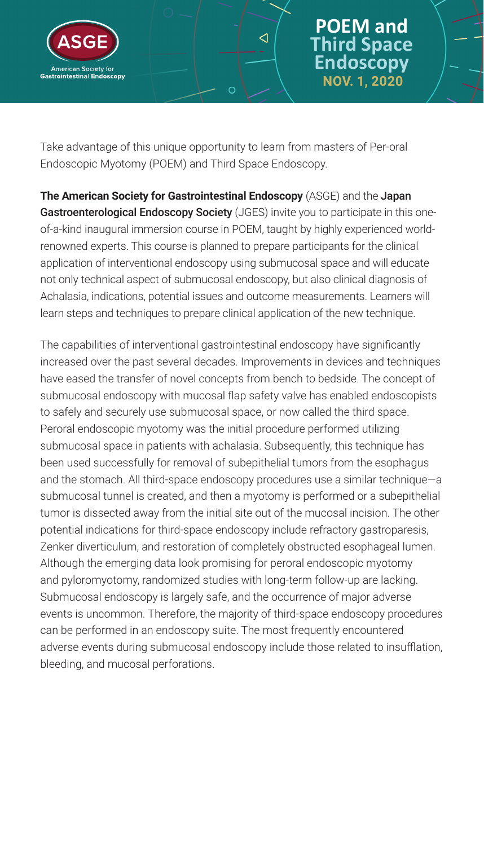

## **POEM and Third Space Endoscopy NOV. 1, 2020**

Take advantage of this unique opportunity to learn from masters of Per-oral Endoscopic Myotomy (POEM) and Third Space Endoscopy.

 $\triangleleft$ 

**The American Society for Gastrointestinal Endoscopy** (ASGE) and the Japan Gastroenterological Endoscopy Society (JGES) invite you to participate in this oneof-a-kind inaugural immersion course in POEM, taught by highly experienced worldrenowned experts. This course is planned to prepare participants for the clinical application of interventional endoscopy using submucosal space and will educate not only technical aspect of submucosal endoscopy, but also clinical diagnosis of Achalasia, indications, potential issues and outcome measurements. Learners will learn steps and techniques to prepare clinical application of the new technique.

The capabilities of interventional gastrointestinal endoscopy have significantly increased over the past several decades. Improvements in devices and techniques have eased the transfer of novel concepts from bench to bedside. The concept of submucosal endoscopy with mucosal flap safety valve has enabled endoscopists to safely and securely use submucosal space, or now called the third space. Peroral endoscopic myotomy was the initial procedure performed utilizing submucosal space in patients with achalasia. Subsequently, this technique has been used successfully for removal of subepithelial tumors from the esophagus and the stomach. All third-space endoscopy procedures use a similar technique—a submucosal tunnel is created, and then a myotomy is performed or a subepithelial tumor is dissected away from the initial site out of the mucosal incision. The other potential indications for third-space endoscopy include refractory gastroparesis, Zenker diverticulum, and restoration of completely obstructed esophageal lumen. Although the emerging data look promising for peroral endoscopic myotomy and pyloromyotomy, randomized studies with long-term follow-up are lacking. Submucosal endoscopy is largely safe, and the occurrence of major adverse events is uncommon. Therefore, the majority of third-space endoscopy procedures can be performed in an endoscopy suite. The most frequently encountered adverse events during submucosal endoscopy include those related to insufflation, bleeding, and mucosal perforations.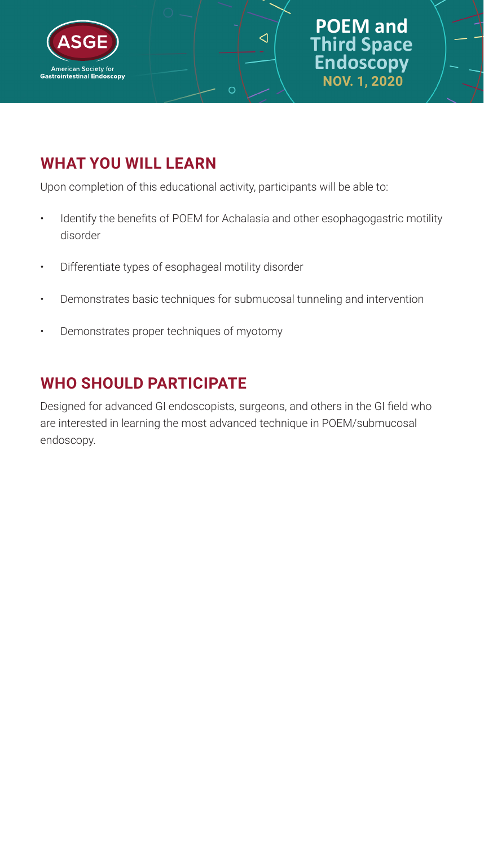

## **POEM and Third Space Endoscopy NOV. 1, 2020**

## **WHAT YOU WILL LEARN**

Upon completion of this educational activity, participants will be able to:

O

Identify the benefits of POEM for Achalasia and other esophagogastric motility disorder

 $\triangleleft$ 

- Differentiate types of esophageal motility disorder
- Demonstrates basic techniques for submucosal tunneling and intervention
- Demonstrates proper techniques of myotomy

## **WHO SHOULD PARTICIPATE**

Designed for advanced GI endoscopists, surgeons, and others in the GI field who are interested in learning the most advanced technique in POEM/submucosal endoscopy.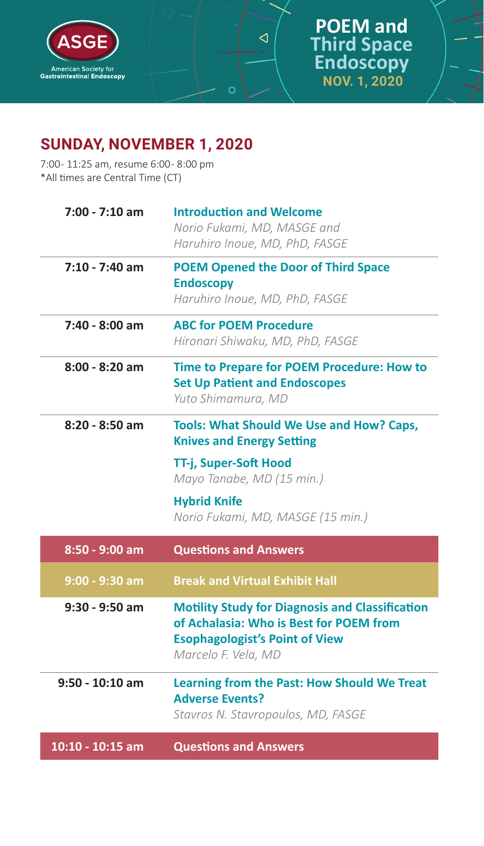

 $\triangleleft$ 

 $\circ$ 

## **SUNDAY, NOVEMBER 1, 2020**

7:00 - 11:25 am, resume 6:00 - 8:00 pm \*All times are Central Time (CT)

| $7:00 - 7:10$ am  | <b>Introduction and Welcome</b><br>Norio Fukami, MD, MASGE and                                                                                                    |  |  |
|-------------------|-------------------------------------------------------------------------------------------------------------------------------------------------------------------|--|--|
|                   | Haruhiro Inoue, MD, PhD, FASGE                                                                                                                                    |  |  |
| $7:10 - 7:40$ am  | <b>POEM Opened the Door of Third Space</b><br><b>Endoscopy</b>                                                                                                    |  |  |
|                   | Haruhiro Inoue, MD, PhD, FASGE                                                                                                                                    |  |  |
| 7:40 - 8:00 am    | <b>ABC for POEM Procedure</b><br>Hironari Shiwaku, MD, PhD, FASGE                                                                                                 |  |  |
| $8:00 - 8:20$ am  | Time to Prepare for POEM Procedure: How to<br><b>Set Up Patient and Endoscopes</b><br>Yuto Shimamura, MD                                                          |  |  |
| 8:20 - 8:50 am    | <b>Tools: What Should We Use and How? Caps,</b><br><b>Knives and Energy Setting</b>                                                                               |  |  |
|                   | TT-j, Super-Soft Hood<br>Mayo Tanabe, MD (15 min.)                                                                                                                |  |  |
|                   | <b>Hybrid Knife</b><br>Norio Fukami, MD, MASGE (15 min.)                                                                                                          |  |  |
| 8:50 - 9:00 am    | <b>Questions and Answers</b>                                                                                                                                      |  |  |
| $9:00 - 9:30$ am  | <b>Break and Virtual Exhibit Hall</b>                                                                                                                             |  |  |
| $9:30 - 9:50$ am  | <b>Motility Study for Diagnosis and Classification</b><br>of Achalasia: Who is Best for POEM from<br><b>Esophagologist's Point of View</b><br>Marcelo F. Vela, MD |  |  |
| $9:50 - 10:10$ am | <b>Learning from the Past: How Should We Treat</b><br><b>Adverse Events?</b><br>Stavros N. Stavropoulos, MD, FASGE                                                |  |  |
| 10:10 - 10:15 am  |                                                                                                                                                                   |  |  |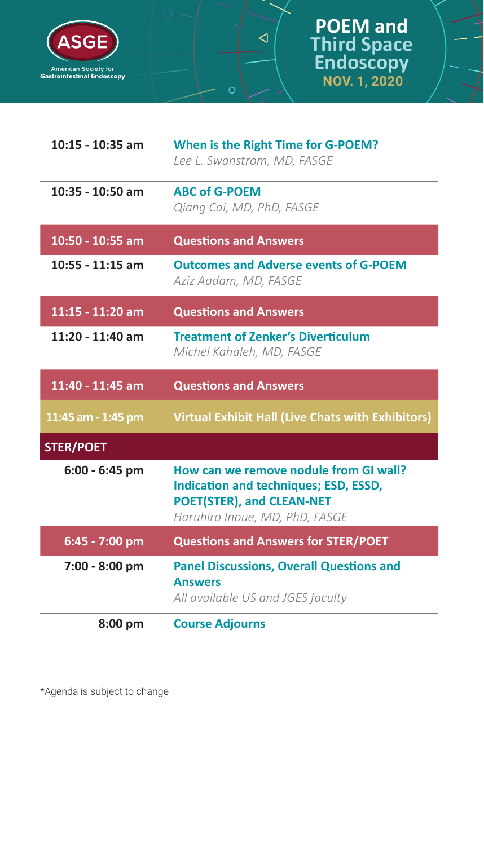

| 10:15 - 10:35 am   | When is the Right Time for G-POEM?<br>Lee L. Swanstrom, MD, FASGE                                                                                     |  |  |
|--------------------|-------------------------------------------------------------------------------------------------------------------------------------------------------|--|--|
| $10:35 - 10:50$ am | <b>ABC of G-POEM</b><br>Qiang Cai, MD, PhD, FASGE                                                                                                     |  |  |
| 10:50 - 10:55 am   | <b>Questions and Answers</b>                                                                                                                          |  |  |
| $10:55 - 11:15$ am | <b>Outcomes and Adverse events of G-POEM</b><br>Aziz Aadam, MD, FASGE                                                                                 |  |  |
| 11:15 - 11:20 am   | <b>Questions and Answers</b>                                                                                                                          |  |  |
| 11:20 - 11:40 am   | <b>Treatment of Zenker's Diverticulum</b><br>Michel Kahaleh, MD, FASGE                                                                                |  |  |
| 11:40 - 11:45 am   | <b>Questions and Answers</b>                                                                                                                          |  |  |
| 11:45 am - 1:45 pm | <b>Virtual Exhibit Hall (Live Chats with Exhibitors)</b>                                                                                              |  |  |
| <b>STER/POET</b>   |                                                                                                                                                       |  |  |
| $6:00 - 6:45$ pm   | How can we remove nodule from GI wall?<br>Indication and techniques; ESD, ESSD,<br><b>POET(STER), and CLEAN-NET</b><br>Haruhiro Inoue, MD, PhD, FASGE |  |  |
| 6:45 - 7:00 pm     | <b>Questions and Answers for STER/POET</b>                                                                                                            |  |  |
| 7:00 - 8:00 pm     | <b>Panel Discussions, Overall Questions and</b><br><b>Answers</b><br>All available US and JGES faculty                                                |  |  |
| 8:00 pm            | <b>Course Adjourns</b>                                                                                                                                |  |  |

 $\overline{\mathcal{A}}$ 

 $\circ$ 

\*Agenda is subject to change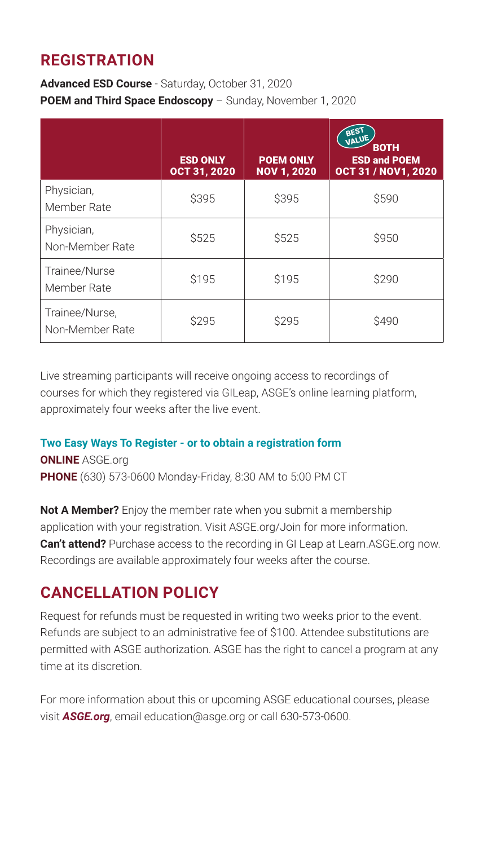## **REGISTRATION**

**Advanced ESD Course** - Saturday, October 31, 2020 **POEM and Third Space Endoscopy** – Sunday, November 1, 2020

|                                   | <b>ESD ONLY</b><br>OCT 31, 2020 | <b>POEM ONLY</b><br><b>NOV 1, 2020</b> | BEST<br>VALUE<br><b>BOTH</b><br><b>ESD and POEM</b><br><b>OCT 31 / NOV1, 2020</b> |
|-----------------------------------|---------------------------------|----------------------------------------|-----------------------------------------------------------------------------------|
| Physician,<br>Member Rate         | \$395                           | \$395                                  | \$590                                                                             |
| Physician,<br>Non-Member Rate     | \$525                           | \$525                                  | \$950                                                                             |
| Trainee/Nurse<br>Member Rate      | \$195                           | \$195                                  | \$290                                                                             |
| Trainee/Nurse,<br>Non-Member Rate | \$295                           | \$295                                  | \$490                                                                             |

Live streaming participants will receive ongoing access to recordings of courses for which they registered via GILeap, ASGE's online learning platform, approximately four weeks after the live event.

### **Two Easy Ways To Register - or to obtain a registration form**

**ONLINE** ASGE.org

**PHONE** (630) 573-0600 Monday-Friday, 8:30 AM to 5:00 PM CT

**Not A Member?** Enjoy the member rate when you submit a membership application with your registration. Visit ASGE.org/Join for more information. **Can't attend?** Purchase access to the recording in GI Leap at Learn.ASGE.org now. Recordings are available approximately four weeks after the course.

## **CANCELLATION POLICY**

Request for refunds must be requested in writing two weeks prior to the event. Refunds are subject to an administrative fee of \$100. Attendee substitutions are permitted with ASGE authorization. ASGE has the right to cancel a program at any time at its discretion.

For more information about this or upcoming ASGE educational courses, please visit *ASGE.org*, email education@asge.org or call 630-573-0600.